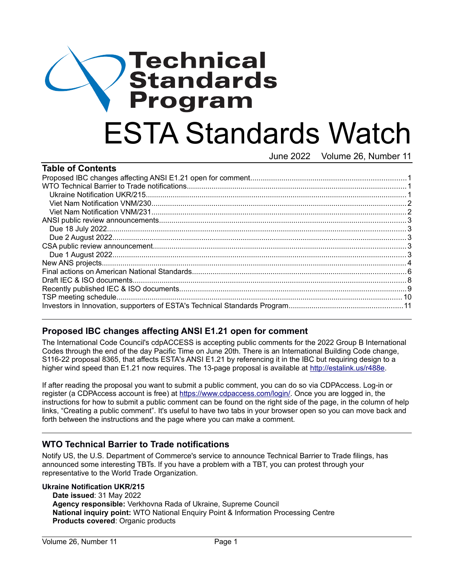# Technical **Standards** Program ESTA Standards Watch June 2022 Volume 26, Number 11

| <b>Table of Contents</b> |  |
|--------------------------|--|
|                          |  |
|                          |  |
|                          |  |
|                          |  |
|                          |  |
|                          |  |
|                          |  |
|                          |  |
|                          |  |
|                          |  |
|                          |  |
|                          |  |
|                          |  |
|                          |  |
|                          |  |
|                          |  |

# <span id="page-0-2"></span>**Proposed IBC changes affecting ANSI E1.21 open for comment**

The International Code Council's cdpACCESS is accepting public comments for the 2022 Group B International Codes through the end of the day Pacific Time on June 20th. There is an International Building Code change, S116-22 proposal 8365, that affects ESTA's ANSI E1.21 by referencing it in the IBC but requiring design to a higher wind speed than E1.21 now requires. The 13-page proposal is available at <http://estalink.us/r488e>.

If after reading the proposal you want to submit a public comment, you can do so via CDPAccess. Log-in or register (a CDPAccess account is free) at [https://www.cdpaccess.com/login/.](https://www.cdpaccess.com/login/) Once you are logged in, the instructions for how to submit a public comment can be found on the right side of the page, in the column of help links, "Creating a public comment". It's useful to have two tabs in your browser open so you can move back and forth between the instructions and the page where you can make a comment.

# <span id="page-0-1"></span>**WTO Technical Barrier to Trade notifications**

Notify US, the U.S. Department of Commerce's service to announce Technical Barrier to Trade filings, has announced some interesting TBTs. If you have a problem with a TBT, you can protest through your representative to the World Trade Organization.

#### <span id="page-0-0"></span>**Ukraine Notification UKR/215**

**Date issued**: 31 May 2022 **Agency responsible:** Verkhovna Rada of Ukraine, Supreme Council **National inquiry point:** WTO National Enquiry Point & Information Processing Centre **Products covered**: Organic products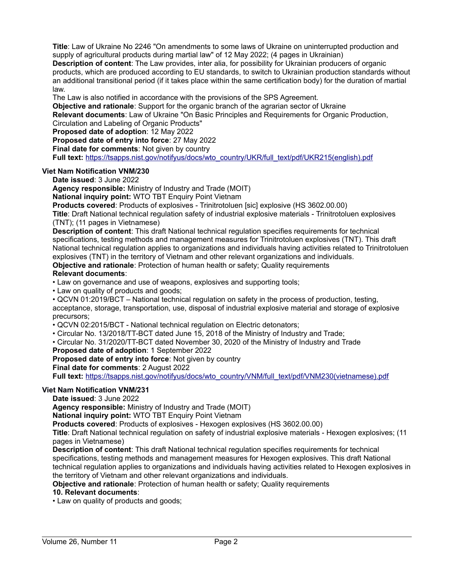**Title**: Law of Ukraine No 2246 "On amendments to some laws of Ukraine on uninterrupted production and supply of agricultural products during martial law" of 12 May 2022; (4 pages in Ukrainian) **Description of content**: The Law provides, inter alia, for possibility for Ukrainian producers of organic products, which are produced according to EU standards, to switch to Ukrainian production standards without an additional transitional period (if it takes place within the same certification body) for the duration of martial law.

The Law is also notified in accordance with the provisions of the SPS Agreement.

**Objective and rationale**: Support for the organic branch of the agrarian sector of Ukraine

**Relevant documents**: Law of Ukraine "On Basic Principles and Requirements for Organic Production, Circulation and Labeling of Organic Products"

**Proposed date of adoption**: 12 May 2022

**Proposed date of entry into force**: 27 May 2022

**Final date for comments: Not given by country** 

**Full text:** https://tsapps.nist.gov/notifyus/docs/wto\_country/UKR/full\_text/pdf/UKR215(english).pdf

### <span id="page-1-1"></span>**Viet Nam Notification VNM/230**

**Date issued**: 3 June 2022

**Agency responsible:** Ministry of Industry and Trade (MOIT)

**National inquiry point:** WTO TBT Enquiry Point Vietnam

**Products covered**: Products of explosives - Trinitrotoluen [sic] explosive (HS 3602.00.00)

**Title**: Draft National technical regulation safety of industrial explosive materials - Trinitrotoluen explosives (TNT); (11 pages in Vietnamese)

**Description of content**: This draft National technical regulation specifies requirements for technical specifications, testing methods and management measures for Trinitrotoluen explosives (TNT). This draft National technical regulation applies to organizations and individuals having activities related to Trinitrotoluen explosives (TNT) in the territory of Vietnam and other relevant organizations and individuals.

**Objective and rationale**: Protection of human health or safety; Quality requirements

#### **Relevant documents**:

• Law on governance and use of weapons, explosives and supporting tools;

• Law on quality of products and goods;

• QCVN 01:2019/BCT – National technical regulation on safety in the process of production, testing, acceptance, storage, transportation, use, disposal of industrial explosive material and storage of explosive precursors;

• QCVN 02:2015/BCT - National technical regulation on Electric detonators;

- Circular No. 13/2018/TT-BCT dated June 15, 2018 of the Ministry of Industry and Trade;
- Circular No. 31/2020/TT-BCT dated November 30, 2020 of the Ministry of Industry and Trade

#### **Proposed date of adoption**: 1 September 2022

**Proposed date of entry into force**: Not given by country

**Final date for comments**: 2 August 2022

**Full text:** https://tsapps.nist.gov/notifyus/docs/wto\_country/VNM/full\_text/pdf/VNM230(vietnamese).pdf

#### <span id="page-1-0"></span>**Viet Nam Notification VNM/231**

**Date issued**: 3 June 2022

**Agency responsible:** Ministry of Industry and Trade (MOIT)

**National inquiry point:** WTO TBT Enquiry Point Vietnam

**Products covered**: Products of explosives - Hexogen explosives (HS 3602.00.00)

**Title**: Draft National technical regulation on safety of industrial explosive materials - Hexogen explosives; (11 pages in Vietnamese)

**Description of content**: This draft National technical regulation specifies requirements for technical specifications, testing methods and management measures for Hexogen explosives. This draft National technical regulation applies to organizations and individuals having activities related to Hexogen explosives in the territory of Vietnam and other relevant organizations and individuals.

**Objective and rationale**: Protection of human health or safety; Quality requirements

#### **10. Relevant documents**:

• Law on quality of products and goods;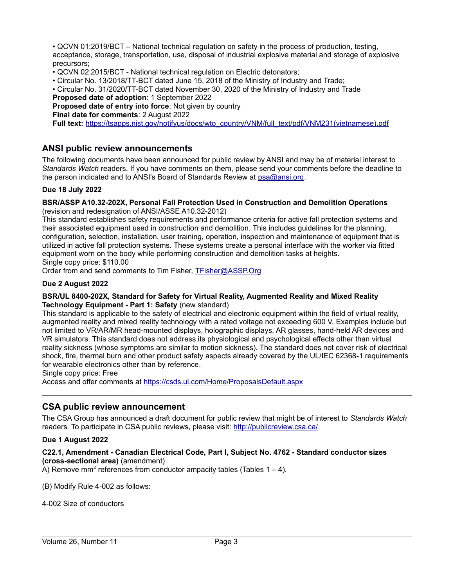• QCVN 01:2019/BCT – National technical regulation on safety in the process of production, testing, acceptance, storage, transportation, use, disposal of industrial explosive material and storage of explosive precursors;

• QCVN 02:2015/BCT - National technical regulation on Electric detonators;

• Circular No. 13/2018/TT-BCT dated June 15, 2018 of the Ministry of Industry and Trade;

• Circular No. 31/2020/TT-BCT dated November 30, 2020 of the Ministry of Industry and Trade

**Proposed date of adoption**: 1 September 2022

**Proposed date of entry into force**: Not given by country

**Final date for comments**: 2 August 2022

**Full text:** https://tsapps.nist.gov/notifyus/docs/wto\_country/VNM/full\_text/pdf/VNM231(vietnamese).pdf

## <span id="page-2-4"></span>**ANSI public review announcements**

The following documents have been announced for public review by ANSI and may be of material interest to *Standards Watch* readers. If you have comments on them, please send your comments before the deadline to the person indicated and to ANSI's Board of Standards Review at [psa@ansi.org](mailto:psa@ansi.org).

#### <span id="page-2-3"></span>**Due 18 July 2022**

#### **BSR/ASSP A10.32-202X, Personal Fall Protection Used in Construction and Demolition Operations**

(revision and redesignation of ANSI/ASSE A10.32-2012)

This standard establishes safety requirements and performance criteria for active fall protection systems and their associated equipment used in construction and demolition. This includes guidelines for the planning, configuration, selection, installation, user training, operation, inspection and maintenance of equipment that is utilized in active fall protection systems. These systems create a personal interface with the worker via fitted equipment worn on the body while performing construction and demolition tasks at heights.

Single copy price: \$110.00

Order from and send comments to Tim Fisher, [TFisher@ASSP.Org](mailto:TFisher@ASSP.Org)

#### <span id="page-2-2"></span>**Due 2 August 2022**

#### **BSR/UL 8400-202X, Standard for Safety for Virtual Reality, Augmented Reality and Mixed Reality Technology Equipment - Part 1: Safety** (new standard)

This standard is applicable to the safety of electrical and electronic equipment within the field of virtual reality, augmented reality and mixed reality technology with a rated voltage not exceeding 600 V. Examples include but not limited to VR/AR/MR head-mounted displays, holographic displays, AR glasses, hand-held AR devices and VR simulators. This standard does not address its physiological and psychological effects other than virtual reality sickness (whose symptoms are similar to motion sickness). The standard does not cover risk of electrical shock, fire, thermal burn and other product safety aspects already covered by the UL/IEC 62368-1 requirements for wearable electronics other than by reference.

Single copy price: Free

Access and offer comments at <https://csds.ul.com/Home/ProposalsDefault.aspx>

## <span id="page-2-1"></span>**CSA public review announcement**

The CSA Group has announced a draft document for public review that might be of interest to *Standards Watch*  readers. To participate in CSA public reviews, please visit: [http://publicreview.csa.ca/.](http://publicreview.csa.ca/)

#### <span id="page-2-0"></span>**Due 1 August 2022**

#### **C22.1, Amendment - Canadian Electrical Code, Part I, Subject No. 4762 - Standard conductor sizes (cross-sectional area)** (amendment)

A) Remove mm<sup>2</sup> references from conductor ampacity tables (Tables  $1 - 4$ ).

(B) Modify Rule 4-002 as follows:

4-002 Size of conductors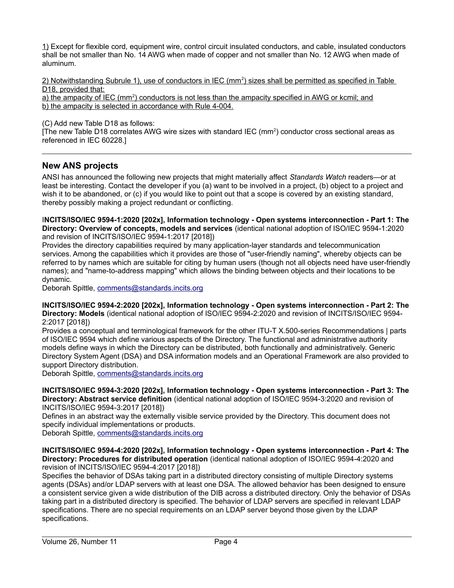1) Except for flexible cord, equipment wire, control circuit insulated conductors, and cable, insulated conductors shall be not smaller than No. 14 AWG when made of copper and not smaller than No. 12 AWG when made of aluminum.

2) Notwithstanding Subrule 1), use of conductors in IEC (mm<sup>2</sup>) sizes shall be permitted as specified in Table D<sub>18</sub>, provided that:

a) the ampacity of IEC (mm<sup>2</sup>) conductors is not less than the ampacity specified in AWG or kcmil; and b) the ampacity is selected in accordance with Rule 4-004.

(C) Add new Table D18 as follows:

[The new Table D18 correlates AWG wire sizes with standard IEC  $(mm^2)$  conductor cross sectional areas as referenced in IEC 60228.]

## <span id="page-3-0"></span>**New ANS projects**

ANSI has announced the following new projects that might materially affect *Standards Watch* readers—or at least be interesting. Contact the developer if you (a) want to be involved in a project, (b) object to a project and wish it to be abandoned, or (c) if you would like to point out that a scope is covered by an existing standard, thereby possibly making a project redundant or conflicting.

I**NCITS/ISO/IEC 9594-1:2020 [202x], Information technology - Open systems interconnection - Part 1: The Directory: Overview of concepts, models and services** (identical national adoption of ISO/IEC 9594-1:2020 and revision of INCITS/ISO/IEC 9594-1:2017 [2018])

Provides the directory capabilities required by many application-layer standards and telecommunication services. Among the capabilities which it provides are those of "user-friendly naming", whereby objects can be referred to by names which are suitable for citing by human users (though not all objects need have user-friendly names); and "name-to-address mapping" which allows the binding between objects and their locations to be dynamic.

Deborah Spittle, [comments@standards.incits.org](mailto:comments@standards.incits.org)

**INCITS/ISO/IEC 9594-2:2020 [202x], Information technology - Open systems interconnection - Part 2: The Directory: Models** (identical national adoption of ISO/IEC 9594-2:2020 and revision of INCITS/ISO/IEC 9594- 2:2017 [2018])

Provides a conceptual and terminological framework for the other ITU-T X.500-series Recommendations | parts of ISO/IEC 9594 which define various aspects of the Directory. The functional and administrative authority models define ways in which the Directory can be distributed, both functionally and administratively. Generic Directory System Agent (DSA) and DSA information models and an Operational Framework are also provided to support Directory distribution.

Deborah Spittle, [comments@standards.incits.org](mailto:comments@standards.incits.org)

**INCITS/ISO/IEC 9594-3:2020 [202x], Information technology - Open systems interconnection - Part 3: The Directory: Abstract service definition** (identical national adoption of ISO/IEC 9594-3:2020 and revision of INCITS/ISO/IEC 9594-3:2017 [2018])

Defines in an abstract way the externally visible service provided by the Directory. This document does not specify individual implementations or products.

Deborah Spittle, [comments@standards.incits.org](mailto:comments@standards.incits.org)

**INCITS/ISO/IEC 9594-4:2020 [202x], Information technology - Open systems interconnection - Part 4: The Directory: Procedures for distributed operation** (identical national adoption of ISO/IEC 9594-4:2020 and revision of INCITS/ISO/IEC 9594-4:2017 [2018])

Specifies the behavior of DSAs taking part in a distributed directory consisting of multiple Directory systems agents (DSAs) and/or LDAP servers with at least one DSA. The allowed behavior has been designed to ensure a consistent service given a wide distribution of the DIB across a distributed directory. Only the behavior of DSAs taking part in a distributed directory is specified. The behavior of LDAP servers are specified in relevant LDAP specifications. There are no special requirements on an LDAP server beyond those given by the LDAP specifications.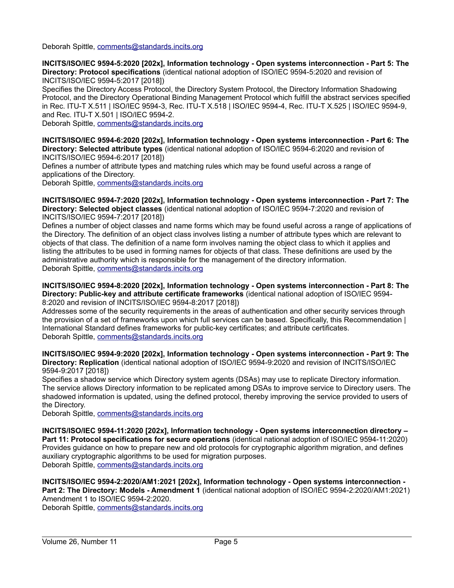Deborah Spittle, [comments@standards.incits.org](mailto:comments@standards.incits.org)

**INCITS/ISO/IEC 9594-5:2020 [202x], Information technology - Open systems interconnection - Part 5: The Directory: Protocol specifications** (identical national adoption of ISO/IEC 9594-5:2020 and revision of INCITS/ISO/IEC 9594-5:2017 [2018])

Specifies the Directory Access Protocol, the Directory System Protocol, the Directory Information Shadowing Protocol, and the Directory Operational Binding Management Protocol which fulfill the abstract services specified in Rec. ITU-T X.511 | ISO/IEC 9594-3, Rec. ITU-T X.518 | ISO/IEC 9594-4, Rec. ITU-T X.525 | ISO/IEC 9594-9, and Rec. ITU-T X.501 | ISO/IEC 9594-2.

Deborah Spittle, [comments@standards.incits.org](mailto:comments@standards.incits.org)

**INCITS/ISO/IEC 9594-6:2020 [202x], Information technology - Open systems interconnection - Part 6: The Directory: Selected attribute types** (identical national adoption of ISO/IEC 9594-6:2020 and revision of INCITS/ISO/IEC 9594-6:2017 [2018])

Defines a number of attribute types and matching rules which may be found useful across a range of applications of the Directory.

Deborah Spittle, [comments@standards.incits.org](mailto:comments@standards.incits.org)

**INCITS/ISO/IEC 9594-7:2020 [202x], Information technology - Open systems interconnection - Part 7: The Directory: Selected object classes** (identical national adoption of ISO/IEC 9594-7:2020 and revision of INCITS/ISO/IEC 9594-7:2017 [2018])

Defines a number of object classes and name forms which may be found useful across a range of applications of the Directory. The definition of an object class involves listing a number of attribute types which are relevant to objects of that class. The definition of a name form involves naming the object class to which it applies and listing the attributes to be used in forming names for objects of that class. These definitions are used by the administrative authority which is responsible for the management of the directory information. Deborah Spittle, [comments@standards.incits.org](mailto:comments@standards.incits.org)

**INCITS/ISO/IEC 9594-8:2020 [202x], Information technology - Open systems interconnection - Part 8: The Directory: Public-key and attribute certificate frameworks** (identical national adoption of ISO/IEC 9594- 8:2020 and revision of INCITS/ISO/IEC 9594-8:2017 [2018])

Addresses some of the security requirements in the areas of authentication and other security services through the provision of a set of frameworks upon which full services can be based. Specifically, this Recommendation | International Standard defines frameworks for public-key certificates; and attribute certificates. Deborah Spittle, [comments@standards.incits.org](mailto:comments@standards.incits.org)

**INCITS/ISO/IEC 9594-9:2020 [202x], Information technology - Open systems interconnection - Part 9: The Directory: Replication** (identical national adoption of ISO/IEC 9594-9:2020 and revision of INCITS/ISO/IEC 9594-9:2017 [2018])

Specifies a shadow service which Directory system agents (DSAs) may use to replicate Directory information. The service allows Directory information to be replicated among DSAs to improve service to Directory users. The shadowed information is updated, using the defined protocol, thereby improving the service provided to users of the Directory.

Deborah Spittle, [comments@standards.incits.org](mailto:comments@standards.incits.org)

**INCITS/ISO/IEC 9594-11:2020 [202x], Information technology - Open systems interconnection directory – Part 11: Protocol specifications for secure operations** (identical national adoption of ISO/IEC 9594-11:2020) Provides guidance on how to prepare new and old protocols for cryptographic algorithm migration, and defines auxiliary cryptographic algorithms to be used for migration purposes. Deborah Spittle, [comments@standards.incits.org](mailto:comments@standards.incits.org)

**INCITS/ISO/IEC 9594-2:2020/AM1:2021 [202x], Information technology - Open systems interconnection - Part 2: The Directory: Models - Amendment 1** (identical national adoption of ISO/IEC 9594-2:2020/AM1:2021) Amendment 1 to ISO/IEC 9594-2:2020.

Deborah Spittle, [comments@standards.incits.org](mailto:comments@standards.incits.org)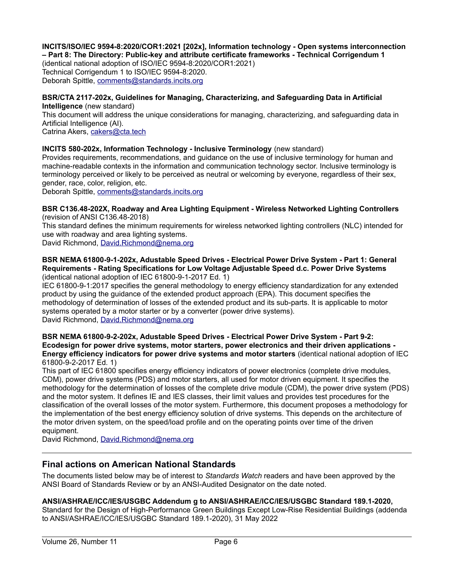**INCITS/ISO/IEC 9594-8:2020/COR1:2021 [202x], Information technology - Open systems interconnection – Part 8: The Directory: Public-key and attribute certificate frameworks - Technical Corrigendum 1**

(identical national adoption of ISO/IEC 9594-8:2020/COR1:2021) Technical Corrigendum 1 to ISO/IEC 9594-8:2020. Deborah Spittle, [comments@standards.incits.org](mailto:comments@standards.incits.org)

#### **BSR/CTA 2117-202x, Guidelines for Managing, Characterizing, and Safeguarding Data in Artificial Intelligence** (new standard)

This document will address the unique considerations for managing, characterizing, and safeguarding data in Artificial Intelligence (AI).

Catrina Akers, [cakers@cta.tech](mailto:cakers@cta.tech)

## **INCITS 580-202x, Information Technology - Inclusive Terminology** (new standard)

Provides requirements, recommendations, and guidance on the use of inclusive terminology for human and machine-readable contexts in the information and communication technology sector. Inclusive terminology is terminology perceived or likely to be perceived as neutral or welcoming by everyone, regardless of their sex, gender, race, color, religion, etc.

Deborah Spittle, [comments@standards.incits.org](mailto:comments@standards.incits.org)

**BSR C136.48-202X, Roadway and Area Lighting Equipment - Wireless Networked Lighting Controllers**  (revision of ANSI C136.48-2018)

This standard defines the minimum requirements for wireless networked lighting controllers (NLC) intended for use with roadway and area lighting systems.

David Richmond, [David.Richmond@nema.org](mailto:David.Richmond@nema.org)

#### **BSR NEMA 61800-9-1-202x, Adustable Speed Drives - Electrical Power Drive System - Part 1: General Requirements - Rating Specifications for Low Voltage Adjustable Speed d.c. Power Drive Systems**  (identical national adoption of IEC 61800-9-1-2017 Ed. 1)

IEC 61800-9-1:2017 specifies the general methodology to energy efficiency standardization for any extended product by using the guidance of the extended product approach (EPA). This document specifies the methodology of determination of losses of the extended product and its sub-parts. It is applicable to motor systems operated by a motor starter or by a converter (power drive systems). David Richmond, [David.Richmond@nema.org](mailto:David.Richmond@nema.org)

**BSR NEMA 61800-9-2-202x, Adustable Speed Drives - Electrical Power Drive System - Part 9-2: Ecodesign for power drive systems, motor starters, power electronics and their driven applications - Energy efficiency indicators for power drive systems and motor starters** (identical national adoption of IEC 61800-9-2-2017 Ed. 1)

This part of IEC 61800 specifies energy efficiency indicators of power electronics (complete drive modules, CDM), power drive systems (PDS) and motor starters, all used for motor driven equipment. It specifies the methodology for the determination of losses of the complete drive module (CDM), the power drive system (PDS) and the motor system. It defines IE and IES classes, their limit values and provides test procedures for the classification of the overall losses of the motor system. Furthermore, this document proposes a methodology for the implementation of the best energy efficiency solution of drive systems. This depends on the architecture of the motor driven system, on the speed/load profile and on the operating points over time of the driven equipment.

David Richmond, [David.Richmond@nema.org](mailto:David.Richmond@nema.org)

# <span id="page-5-0"></span>**Final actions on American National Standards**

The documents listed below may be of interest to *Standards Watch* readers and have been approved by the ANSI Board of Standards Review or by an ANSI-Audited Designator on the date noted.

## **ANSI/ASHRAE/ICC/IES/USGBC Addendum g to ANSI/ASHRAE/ICC/IES/USGBC Standard 189.1-2020,**

Standard for the Design of High-Performance Green Buildings Except Low-Rise Residential Buildings (addenda to ANSI/ASHRAE/ICC/IES/USGBC Standard 189.1-2020), 31 May 2022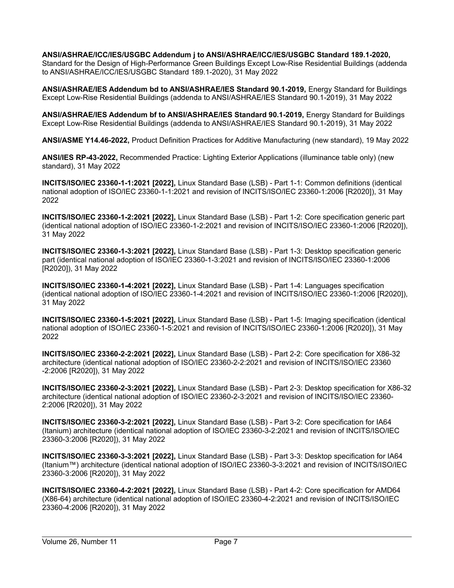**ANSI/ASHRAE/ICC/IES/USGBC Addendum j to ANSI/ASHRAE/ICC/IES/USGBC Standard 189.1-2020,** Standard for the Design of High-Performance Green Buildings Except Low-Rise Residential Buildings (addenda to ANSI/ASHRAE/ICC/IES/USGBC Standard 189.1-2020), 31 May 2022

**ANSI/ASHRAE/IES Addendum bd to ANSI/ASHRAE/IES Standard 90.1-2019,** Energy Standard for Buildings Except Low-Rise Residential Buildings (addenda to ANSI/ASHRAE/IES Standard 90.1-2019), 31 May 2022

**ANSI/ASHRAE/IES Addendum bf to ANSI/ASHRAE/IES Standard 90.1-2019,** Energy Standard for Buildings Except Low-Rise Residential Buildings (addenda to ANSI/ASHRAE/IES Standard 90.1-2019), 31 May 2022

**ANSI/ASME Y14.46-2022,** Product Definition Practices for Additive Manufacturing (new standard), 19 May 2022

**ANSI/IES RP-43-2022,** Recommended Practice: Lighting Exterior Applications (illuminance table only) (new standard), 31 May 2022

**INCITS/ISO/IEC 23360-1-1:2021 [2022],** Linux Standard Base (LSB) - Part 1-1: Common definitions (identical national adoption of ISO/IEC 23360-1-1:2021 and revision of INCITS/ISO/IEC 23360-1:2006 [R2020]), 31 May 2022

**INCITS/ISO/IEC 23360-1-2:2021 [2022],** Linux Standard Base (LSB) - Part 1-2: Core specification generic part (identical national adoption of ISO/IEC 23360-1-2:2021 and revision of INCITS/ISO/IEC 23360-1:2006 [R2020]), 31 May 2022

**INCITS/ISO/IEC 23360-1-3:2021 [2022],** Linux Standard Base (LSB) - Part 1-3: Desktop specification generic part (identical national adoption of ISO/IEC 23360-1-3:2021 and revision of INCITS/ISO/IEC 23360-1:2006 [R2020]), 31 May 2022

**INCITS/ISO/IEC 23360-1-4:2021 [2022],** Linux Standard Base (LSB) - Part 1-4: Languages specification (identical national adoption of ISO/IEC 23360-1-4:2021 and revision of INCITS/ISO/IEC 23360-1:2006 [R2020]), 31 May 2022

**INCITS/ISO/IEC 23360-1-5:2021 [2022],** Linux Standard Base (LSB) - Part 1-5: Imaging specification (identical national adoption of ISO/IEC 23360-1-5:2021 and revision of INCITS/ISO/IEC 23360-1:2006 [R2020]), 31 May 2022

**INCITS/ISO/IEC 23360-2-2:2021 [2022],** Linux Standard Base (LSB) - Part 2-2: Core specification for X86-32 architecture (identical national adoption of ISO/IEC 23360-2-2:2021 and revision of INCITS/ISO/IEC 23360 -2:2006 [R2020]), 31 May 2022

**INCITS/ISO/IEC 23360-2-3:2021 [2022],** Linux Standard Base (LSB) - Part 2-3: Desktop specification for X86-32 architecture (identical national adoption of ISO/IEC 23360-2-3:2021 and revision of INCITS/ISO/IEC 23360- 2:2006 [R2020]), 31 May 2022

**INCITS/ISO/IEC 23360-3-2:2021 [2022],** Linux Standard Base (LSB) - Part 3-2: Core specification for IA64 (Itanium) architecture (identical national adoption of ISO/IEC 23360-3-2:2021 and revision of INCITS/ISO/IEC 23360-3:2006 [R2020]), 31 May 2022

**INCITS/ISO/IEC 23360-3-3:2021 [2022],** Linux Standard Base (LSB) - Part 3-3: Desktop specification for IA64 (Itanium™) architecture (identical national adoption of ISO/IEC 23360-3-3:2021 and revision of INCITS/ISO/IEC 23360-3:2006 [R2020]), 31 May 2022

**INCITS/ISO/IEC 23360-4-2:2021 [2022],** Linux Standard Base (LSB) - Part 4-2: Core specification for AMD64 (X86-64) architecture (identical national adoption of ISO/IEC 23360-4-2:2021 and revision of INCITS/ISO/IEC 23360-4:2006 [R2020]), 31 May 2022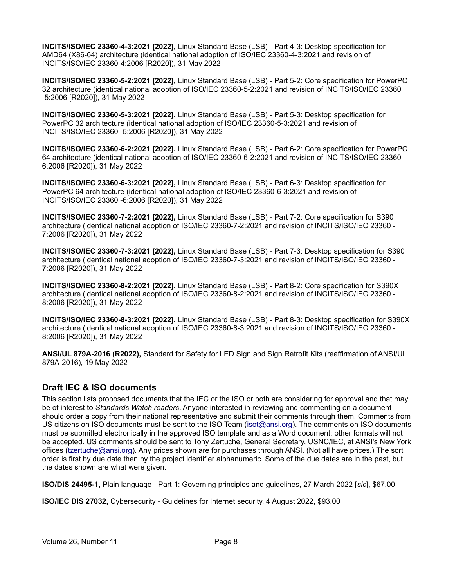**INCITS/ISO/IEC 23360-4-3:2021 [2022],** Linux Standard Base (LSB) - Part 4-3: Desktop specification for AMD64 (X86-64) architecture (identical national adoption of ISO/IEC 23360-4-3:2021 and revision of INCITS/ISO/IEC 23360-4:2006 [R2020]), 31 May 2022

**INCITS/ISO/IEC 23360-5-2:2021 [2022],** Linux Standard Base (LSB) - Part 5-2: Core specification for PowerPC 32 architecture (identical national adoption of ISO/IEC 23360-5-2:2021 and revision of INCITS/ISO/IEC 23360 -5:2006 [R2020]), 31 May 2022

**INCITS/ISO/IEC 23360-5-3:2021 [2022],** Linux Standard Base (LSB) - Part 5-3: Desktop specification for PowerPC 32 architecture (identical national adoption of ISO/IEC 23360-5-3:2021 and revision of INCITS/ISO/IEC 23360 -5:2006 [R2020]), 31 May 2022

**INCITS/ISO/IEC 23360-6-2:2021 [2022],** Linux Standard Base (LSB) - Part 6-2: Core specification for PowerPC 64 architecture (identical national adoption of ISO/IEC 23360-6-2:2021 and revision of INCITS/ISO/IEC 23360 - 6:2006 [R2020]), 31 May 2022

**INCITS/ISO/IEC 23360-6-3:2021 [2022],** Linux Standard Base (LSB) - Part 6-3: Desktop specification for PowerPC 64 architecture (identical national adoption of ISO/IEC 23360-6-3:2021 and revision of INCITS/ISO/IEC 23360 -6:2006 [R2020]), 31 May 2022

**INCITS/ISO/IEC 23360-7-2:2021 [2022],** Linux Standard Base (LSB) - Part 7-2: Core specification for S390 architecture (identical national adoption of ISO/IEC 23360-7-2:2021 and revision of INCITS/ISO/IEC 23360 - 7:2006 [R2020]), 31 May 2022

**INCITS/ISO/IEC 23360-7-3:2021 [2022],** Linux Standard Base (LSB) - Part 7-3: Desktop specification for S390 architecture (identical national adoption of ISO/IEC 23360-7-3:2021 and revision of INCITS/ISO/IEC 23360 - 7:2006 [R2020]), 31 May 2022

**INCITS/ISO/IEC 23360-8-2:2021 [2022],** Linux Standard Base (LSB) - Part 8-2: Core specification for S390X architecture (identical national adoption of ISO/IEC 23360-8-2:2021 and revision of INCITS/ISO/IEC 23360 - 8:2006 [R2020]), 31 May 2022

**INCITS/ISO/IEC 23360-8-3:2021 [2022],** Linux Standard Base (LSB) - Part 8-3: Desktop specification for S390X architecture (identical national adoption of ISO/IEC 23360-8-3:2021 and revision of INCITS/ISO/IEC 23360 - 8:2006 [R2020]), 31 May 2022

**ANSI/UL 879A-2016 (R2022),** Standard for Safety for LED Sign and Sign Retrofit Kits (reaffirmation of ANSI/UL 879A-2016), 19 May 2022

# <span id="page-7-0"></span>**Draft IEC & ISO documents**

This section lists proposed documents that the IEC or the ISO or both are considering for approval and that may be of interest to *Standards Watch readers*. Anyone interested in reviewing and commenting on a document should order a copy from their national representative and submit their comments through them. Comments from US citizens on ISO documents must be sent to the ISO Team ([isot@ansi.org\)](mailto:isot@ansi.org). The comments on ISO documents must be submitted electronically in the approved ISO template and as a Word document; other formats will not be accepted. US comments should be sent to Tony Zertuche, General Secretary, USNC/IEC, at ANSI's New York offices ([tzertuche@ansi.org](mailto:tzertuche@ansi.org)). Any prices shown are for purchases through ANSI. (Not all have prices.) The sort order is first by due date then by the project identifier alphanumeric. Some of the due dates are in the past, but the dates shown are what were given.

**ISO/DIS 24495-1,** Plain language - Part 1: Governing principles and guidelines, 27 March 2022 [*sic*], \$67.00

**ISO/IEC DIS 27032,** Cybersecurity - Guidelines for Internet security, 4 August 2022, \$93.00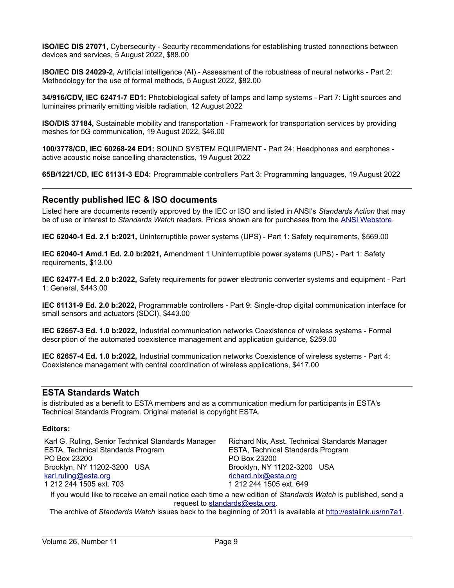**ISO/IEC DIS 27071, Cybersecurity - Security recommendations for establishing trusted connections between** devices and services, 5 August 2022, \$88.00

**ISO/IEC DIS 24029-2,** Artificial intelligence (AI) - Assessment of the robustness of neural networks - Part 2: Methodology for the use of formal methods, 5 August 2022, \$82.00

**34/916/CDV, IEC 62471-7 ED1:** Photobiological safety of lamps and lamp systems - Part 7: Light sources and luminaires primarily emitting visible radiation, 12 August 2022

**ISO/DIS 37184,** Sustainable mobility and transportation - Framework for transportation services by providing meshes for 5G communication, 19 August 2022, \$46.00

**100/3778/CD, IEC 60268-24 ED1:** SOUND SYSTEM EQUIPMENT - Part 24: Headphones and earphones active acoustic noise cancelling characteristics, 19 August 2022

**65B/1221/CD, IEC 61131-3 ED4:** Programmable controllers Part 3: Programming languages, 19 August 2022

## <span id="page-8-0"></span>**Recently published IEC & ISO documents**

Listed here are documents recently approved by the IEC or ISO and listed in ANSI's *Standards Action* that may be of use or interest to *Standards Watch* readers. Prices shown are for purchases from the [ANSI Webstore.](https://webstore.ansi.org/)

**IEC 62040-1 Ed. 2.1 b:2021,** Uninterruptible power systems (UPS) - Part 1: Safety requirements, \$569.00

**IEC 62040-1 Amd.1 Ed. 2.0 b:2021,** Amendment 1 Uninterruptible power systems (UPS) - Part 1: Safety requirements, \$13.00

**IEC 62477-1 Ed. 2.0 b:2022,** Safety requirements for power electronic converter systems and equipment - Part 1: General, \$443.00

**IEC 61131-9 Ed. 2.0 b:2022,** Programmable controllers - Part 9: Single-drop digital communication interface for small sensors and actuators (SDCI), \$443.00

**IEC 62657-3 Ed. 1.0 b:2022,** Industrial communication networks Coexistence of wireless systems - Formal description of the automated coexistence management and application guidance, \$259.00

**IEC 62657-4 Ed. 1.0 b:2022,** Industrial communication networks Coexistence of wireless systems - Part 4: Coexistence management with central coordination of wireless applications, \$417.00

#### **ESTA Standards Watch**

is distributed as a benefit to ESTA members and as a communication medium for participants in ESTA's Technical Standards Program. Original material is copyright ESTA.

#### **Editors:**

| Karl G. Ruling, Senior Technical Standards Manager | Richard Nix, Asst. Technical Standards Manager |
|----------------------------------------------------|------------------------------------------------|
| ESTA, Technical Standards Program                  | ESTA, Technical Standards Program              |
| PO Box 23200                                       | PO Box 23200                                   |
| Brooklyn, NY 11202-3200 USA                        | Brooklyn, NY 11202-3200 USA                    |
| karl.ruling@esta.org                               | richard.nix@esta.org                           |
| 1 212 244 1505 ext. 703                            | 1 212 244 1505 ext. 649                        |

If you would like to receive an email notice each time a new edition of *Standards Watch* is published, send a request to [standards@esta.org](mailto:standards@esta.org).

The archive of *Standards Watch* issues back to the beginning of 2011 is available at [http://estalink.us/nn7a1.](http://estalink.us/nn7a1)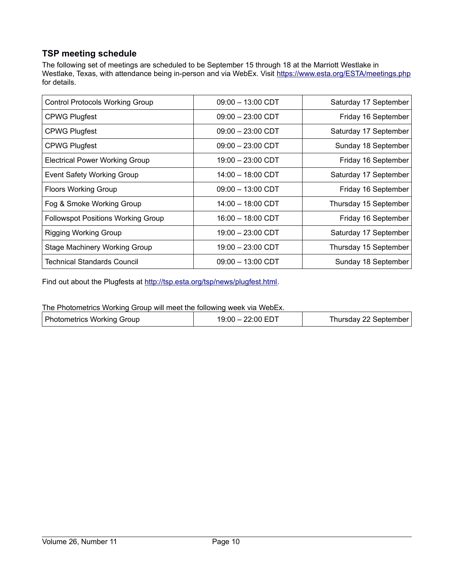# <span id="page-9-0"></span>**TSP meeting schedule**

The following set of meetings are scheduled to be September 15 through 18 at the Marriott Westlake in Westlake, Texas, with attendance being in-person and via WebEx. Visit<https://www.esta.org/ESTA/meetings.php> for details.

| <b>Control Protocols Working Group</b>    | $09:00 - 13:00$ CDT | Saturday 17 September |
|-------------------------------------------|---------------------|-----------------------|
| <b>CPWG Plugfest</b>                      | $09:00 - 23:00$ CDT | Friday 16 September   |
| <b>CPWG Plugfest</b>                      | $09:00 - 23:00$ CDT | Saturday 17 September |
| <b>CPWG Plugfest</b>                      | $09:00 - 23:00$ CDT | Sunday 18 September   |
| <b>Electrical Power Working Group</b>     | 19:00 - 23:00 CDT   | Friday 16 September   |
| <b>Event Safety Working Group</b>         | 14:00 - 18:00 CDT   | Saturday 17 September |
| <b>Floors Working Group</b>               | $09:00 - 13:00$ CDT | Friday 16 September   |
| Fog & Smoke Working Group                 | 14:00 - 18:00 CDT   | Thursday 15 September |
| <b>Followspot Positions Working Group</b> | 16:00 - 18:00 CDT   | Friday 16 September   |
| <b>Rigging Working Group</b>              | 19:00 - 23:00 CDT   | Saturday 17 September |
| <b>Stage Machinery Working Group</b>      | 19:00 - 23:00 CDT   | Thursday 15 September |
| <b>Technical Standards Council</b>        | $09:00 - 13:00$ CDT | Sunday 18 September   |

Find out about the Plugfests at <http://tsp.esta.org/tsp/news/plugfest.html>.

The Photometrics Working Group will meet the following week via WebEx.

| - 22:00 EDT<br>Photometrics Working Group<br>$19:00 - 2^r$<br>Thursday 22 September |
|-------------------------------------------------------------------------------------|
|-------------------------------------------------------------------------------------|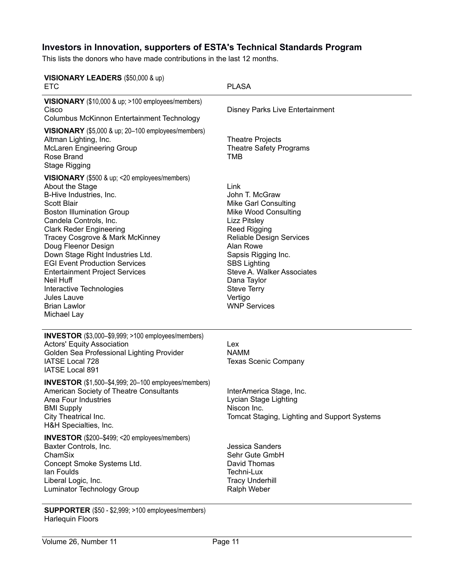# <span id="page-10-0"></span>**Investors in Innovation, supporters of ESTA's Technical Standards Program**

This lists the donors who have made contributions in the last 12 months.

| VISIONARY LEADERS (\$50,000 & up)<br><b>ETC</b>                                                                                                                                                                                                                                                                                                                                                                                                                                                       | <b>PLASA</b>                                                                                                                                                                                                                                                                                                                   |
|-------------------------------------------------------------------------------------------------------------------------------------------------------------------------------------------------------------------------------------------------------------------------------------------------------------------------------------------------------------------------------------------------------------------------------------------------------------------------------------------------------|--------------------------------------------------------------------------------------------------------------------------------------------------------------------------------------------------------------------------------------------------------------------------------------------------------------------------------|
| VISIONARY (\$10,000 & up; >100 employees/members)<br>Cisco<br>Columbus McKinnon Entertainment Technology                                                                                                                                                                                                                                                                                                                                                                                              | <b>Disney Parks Live Entertainment</b>                                                                                                                                                                                                                                                                                         |
| VISIONARY (\$5,000 & up; 20-100 employees/members)<br>Altman Lighting, Inc.<br><b>McLaren Engineering Group</b><br>Rose Brand<br><b>Stage Rigging</b>                                                                                                                                                                                                                                                                                                                                                 | <b>Theatre Projects</b><br><b>Theatre Safety Programs</b><br><b>TMB</b>                                                                                                                                                                                                                                                        |
| <b>VISIONARY</b> (\$500 & up; <20 employees/members)<br>About the Stage<br>B-Hive Industries, Inc.<br><b>Scott Blair</b><br><b>Boston Illumination Group</b><br>Candela Controls, Inc.<br><b>Clark Reder Engineering</b><br>Tracey Cosgrove & Mark McKinney<br>Doug Fleenor Design<br>Down Stage Right Industries Ltd.<br><b>EGI Event Production Services</b><br><b>Entertainment Project Services</b><br>Neil Huff<br>Interactive Technologies<br>Jules Lauve<br><b>Brian Lawlor</b><br>Michael Lay | Link<br>John T. McGraw<br><b>Mike Garl Consulting</b><br><b>Mike Wood Consulting</b><br><b>Lizz Pitsley</b><br><b>Reed Rigging</b><br>Reliable Design Services<br>Alan Rowe<br>Sapsis Rigging Inc.<br><b>SBS Lighting</b><br>Steve A. Walker Associates<br>Dana Taylor<br><b>Steve Terry</b><br>Vertigo<br><b>WNP Services</b> |
| INVESTOR (\$3,000-\$9,999; >100 employees/members)<br><b>Actors' Equity Association</b><br>Golden Sea Professional Lighting Provider<br>IATSE Local 728<br>IATSE Local 891                                                                                                                                                                                                                                                                                                                            | Lex<br><b>NAMM</b><br><b>Texas Scenic Company</b>                                                                                                                                                                                                                                                                              |
| <b>INVESTOR</b> (\$1,500-\$4,999; 20-100 employees/members)<br>American Society of Theatre Consultants<br><b>Area Four Industries</b><br><b>BMI Supply</b><br>City Theatrical Inc.<br>H&H Specialties, Inc.                                                                                                                                                                                                                                                                                           | InterAmerica Stage, Inc.<br>Lycian Stage Lighting<br>Niscon Inc.<br>Tomcat Staging, Lighting and Support Systems                                                                                                                                                                                                               |
| <b>INVESTOR</b> (\$200-\$499; <20 employees/members)<br>Baxter Controls, Inc.<br>ChamSix<br>Concept Smoke Systems Ltd.<br>lan Foulds<br>Liberal Logic, Inc.<br><b>Luminator Technology Group</b>                                                                                                                                                                                                                                                                                                      | <b>Jessica Sanders</b><br>Sehr Gute GmbH<br>David Thomas<br>Techni-Lux<br><b>Tracy Underhill</b><br>Ralph Weber                                                                                                                                                                                                                |

**SUPPORTER** (\$50 - \$2,999; >100 employees/members) Harlequin Floors